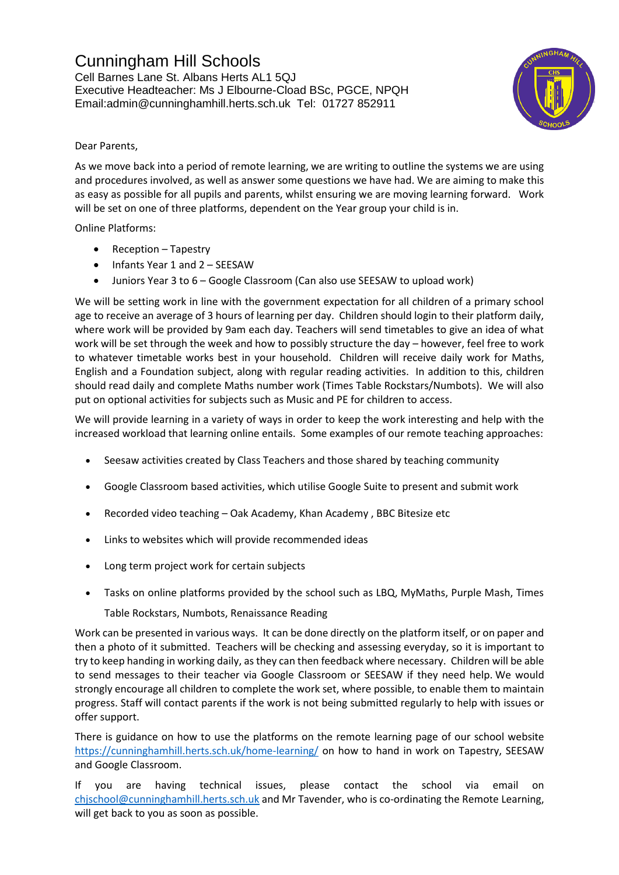## Cunningham Hill Schools

Cell Barnes Lane St. Albans Herts AL1 5QJ Executive Headteacher: Ms J Elbourne-Cload BSc, PGCE, NPQH Email:admin@cunninghamhill.herts.sch.uk Tel: 01727 852911



## Dear Parents,

As we move back into a period of remote learning, we are writing to outline the systems we are using and procedures involved, as well as answer some questions we have had. We are aiming to make this as easy as possible for all pupils and parents, whilst ensuring we are moving learning forward. Work will be set on one of three platforms, dependent on the Year group your child is in.

Online Platforms:

- Reception Tapestry
- Infants Year 1 and 2 SEESAW
- Juniors Year 3 to 6 Google Classroom (Can also use SEESAW to upload work)

We will be setting work in line with the government expectation for all children of a primary school age to receive an average of 3 hours of learning per day. Children should login to their platform daily, where work will be provided by 9am each day. Teachers will send timetables to give an idea of what work will be set through the week and how to possibly structure the day – however, feel free to work to whatever timetable works best in your household. Children will receive daily work for Maths, English and a Foundation subject, along with regular reading activities. In addition to this, children should read daily and complete Maths number work (Times Table Rockstars/Numbots). We will also put on optional activities for subjects such as Music and PE for children to access.

We will provide learning in a variety of ways in order to keep the work interesting and help with the increased workload that learning online entails. Some examples of our remote teaching approaches:

- Seesaw activities created by Class Teachers and those shared by teaching community
- Google Classroom based activities, which utilise Google Suite to present and submit work
- Recorded video teaching Oak Academy, Khan Academy , BBC Bitesize etc
- Links to websites which will provide recommended ideas
- Long term project work for certain subjects
- Tasks on online platforms provided by the school such as LBQ, MyMaths, Purple Mash, Times

Table Rockstars, Numbots, Renaissance Reading

Work can be presented in various ways. It can be done directly on the platform itself, or on paper and then a photo of it submitted. Teachers will be checking and assessing everyday, so it is important to try to keep handing in working daily, asthey can then feedback where necessary. Children will be able to send messages to their teacher via Google Classroom or SEESAW if they need help. We would strongly encourage all children to complete the work set, where possible, to enable them to maintain progress. Staff will contact parents if the work is not being submitted regularly to help with issues or offer support.

There is guidance on how to use the platforms on the remote learning page of our school website <https://cunninghamhill.herts.sch.uk/home-learning/> on how to hand in work on Tapestry, SEESAW and Google Classroom.

If you are having technical issues, please contact the school via email on [chjschool@cunninghamhill.herts.sch.uk](mailto:chjschool@cunninghamhill.herts.sch.uk) and Mr Tavender, who is co-ordinating the Remote Learning, will get back to you as soon as possible.